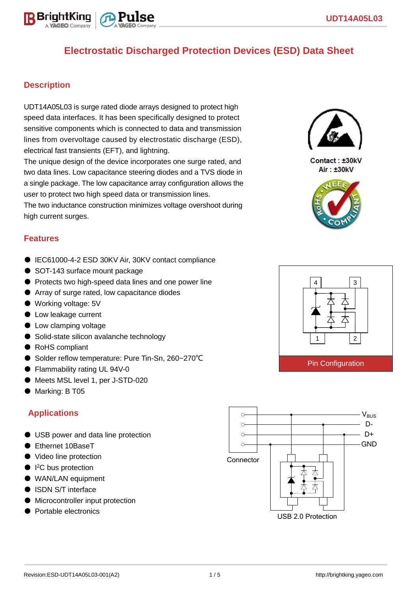

#### **Description**

BriahtKino

UDT14A05L03 is surge rated diode arrays designed to protect high speed data interfaces. It has been specifically designed to protect sensitive components which is connected to data and transmission lines from overvoltage caused by electrostatic discharge (ESD), electrical fast transients (EFT), and lightning.

The unique design of the device incorporates one surge rated, and two data lines. Low capacitance steering diodes and a TVS diode in a single package. The low capacitance array configuration allows the user to protect two high speed data or transmission lines. The two inductance construction minimizes voltage overshoot during

high current surges.

#### **Features**

- IEC61000-4-2 ESD 30KV Air, 30KV contact compliance
- SOT-143 surface mount package
- Protects two high-speed data lines and one power line
- Array of surge rated, low capacitance diodes
- Working voltage: 5V
- Low leakage current
- Low clamping voltage
- Solid-state silicon avalanche technology
- RoHS compliant
- Solder reflow temperature: Pure Tin-Sn, 260~270°C
- Flammability rating UL 94V-0
- Meets MSL level 1, per J-STD-020
- Marking: B T05

#### **Applications**

- USB power and data line protection
- Ethernet 10BaseT
- Video line protection
- I<sup>2</sup>C bus protection
- WAN/LAN equipment
- ISDN S/T interface
- Microcontroller input protection
- Portable electronics





Contact: ±30kV Air: ±30kV



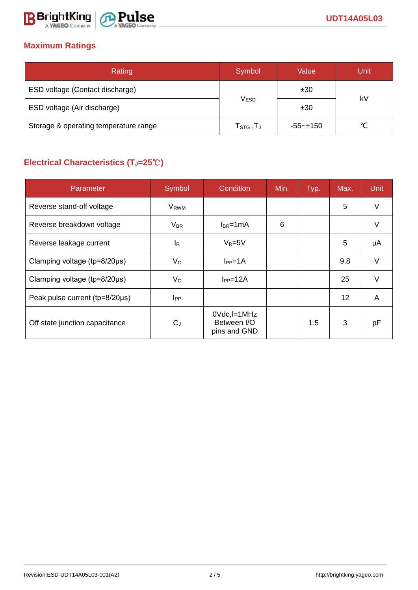

# **Maximum Ratings**

| Rating                                | Symbol                                     | Value        | Unit   |  |
|---------------------------------------|--------------------------------------------|--------------|--------|--|
| ESD voltage (Contact discharge)       |                                            | ±30          | kV     |  |
| ESD voltage (Air discharge)           | V <sub>ESD</sub>                           | ±30          |        |  |
| Storage & operating temperature range | ${\sf T}_{\text{STG}}$ , ${\sf T}_{\sf J}$ | $-55 - +150$ | $\sim$ |  |

# **Electrical Characteristics (TJ=25**℃**)**

| Parameter                              | Symbol                  | Condition                                      | Min. | Typ. | Max. | <b>Unit</b> |
|----------------------------------------|-------------------------|------------------------------------------------|------|------|------|-------------|
| Reverse stand-off voltage              | <b>V</b> <sub>RWM</sub> |                                                |      |      | 5    | V           |
| Reverse breakdown voltage              | $V_{BR}$                | $I_{BR}$ =1mA                                  | 6    |      |      | V           |
| Reverse leakage current                | <sup>IR</sup>           | $V_R = 5V$                                     |      |      | 5    | μA          |
| Clamping voltage ( $tp = 8/20 \mu s$ ) | $V_{C}$                 | $I_{PP} = 1A$                                  |      |      | 9.8  | $\vee$      |
| Clamping voltage ( $tp = 8/20 \mu s$ ) | $V_C$                   | $I_{PP} = 12A$                                 |      |      | 25   | $\vee$      |
| Peak pulse current (tp=8/20µs)         | $_{\rm lPP}$            |                                                |      |      | 12   | A           |
| Off state junction capacitance         | $C_{J}$                 | $0$ Vdc, f=1MHz<br>Between I/O<br>pins and GND |      | 1.5  | 3    | pF          |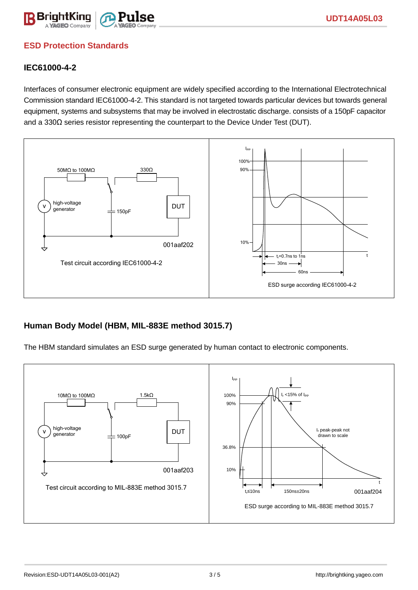

### **ESD Protection Standards**

#### **IEC61000-4-2**

Interfaces of consumer electronic equipment are widely specified according to the International Electrotechnical Commission standard IEC61000-4-2. This standard is not targeted towards particular devices but towards general equipment, systems and subsystems that may be involved in electrostatic discharge. consists of a 150pF capacitor and a 330Ω series resistor representing the counterpart to the Device Under Test (DUT).



#### **Human Body Model (HBM, MIL-883E method 3015.7)**

The HBM standard simulates an ESD surge generated by human contact to electronic components.

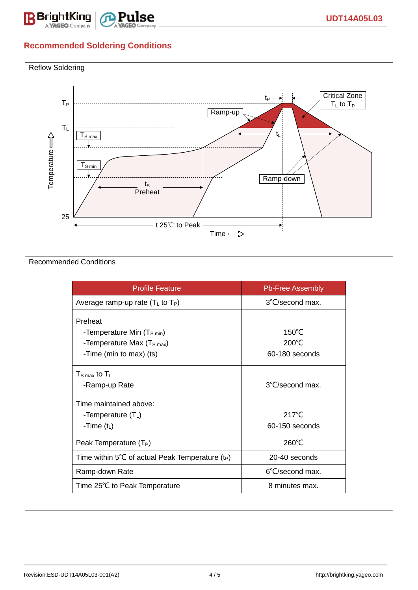

# **Recommended Soldering Conditions**